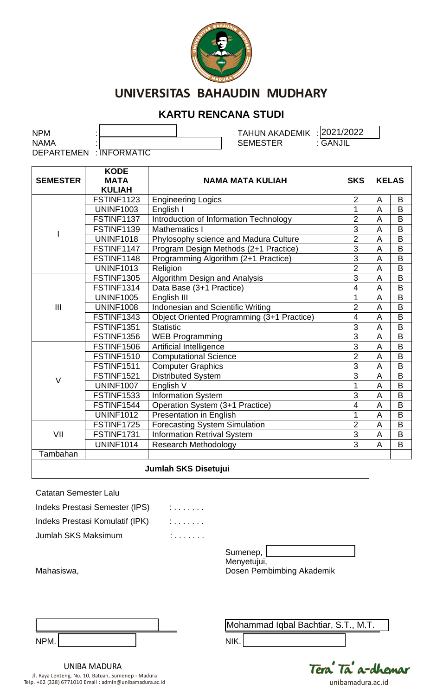

### **KARTU RENCANA STUDI**

NPM : TAHUN AKADEMIK : 2021/2022 NAMA :  $\overline{\hspace{1.6cm}}$  :  $\overline{\hspace{1.6cm}}$  SEMESTER :  $\overline{\hspace{1.6cm}}$  GANJIL DEPARTEMEN : INFORMATIC

| <b>SEMESTER</b> | <b>KODE</b><br><b>MATA</b> | <b>NAMA MATA KULIAH</b>                    |                         | <b>KELAS</b>   |                |
|-----------------|----------------------------|--------------------------------------------|-------------------------|----------------|----------------|
|                 | <b>KULIAH</b>              |                                            |                         |                |                |
|                 | FSTINF1123                 | <b>Engineering Logics</b>                  | $\overline{2}$          | A              | B              |
|                 | <b>UNINF1003</b>           | English I                                  | 1                       | A              | B              |
|                 | FSTINF1137                 | Introduction of Information Technology     | $\overline{2}$          | $\overline{A}$ | B              |
|                 | FSTINF1139                 | <b>Mathematics I</b>                       | $\overline{3}$          | A              | B              |
|                 | <b>UNINF1018</b>           | Phylosophy science and Madura Culture      | $\overline{2}$          | A              | B              |
|                 | FSTINF1147                 | Program Design Methods (2+1 Practice)      | $\overline{3}$          | $\overline{A}$ | B              |
|                 | FSTINF1148                 | Programming Algorithm (2+1 Practice)       | $\overline{3}$          | A              | B              |
|                 | <b>UNINF1013</b>           | Religion                                   | $\overline{2}$          | A              | $\overline{B}$ |
|                 | <b>FSTINF1305</b>          | Algorithm Design and Analysis              | $\overline{3}$          | A              | B              |
| III             | FSTINF1314                 | Data Base (3+1 Practice)                   | $\overline{4}$          | A              | $\overline{B}$ |
|                 | <b>UNINF1005</b>           | English III                                | 1                       | A              | $\overline{B}$ |
|                 | <b>UNINF1008</b>           | Indonesian and Scientific Writing          | $\overline{2}$          | A              | B              |
|                 | FSTINF1343                 | Object Oriented Programming (3+1 Practice) | $\overline{\mathbf{4}}$ | A              | B              |
|                 | <b>FSTINF1351</b>          | <b>Statistic</b>                           | $\overline{3}$          | A              | B              |
|                 | <b>FSTINF1356</b>          | <b>WEB Programming</b>                     | $\overline{3}$          | $\overline{A}$ | B              |
|                 | <b>FSTINF1506</b>          | Artificial Intelligence                    | $\overline{3}$          | A              | B              |
|                 | <b>FSTINF1510</b>          | <b>Computational Science</b>               | $\overline{2}$          | A              | B              |
|                 | <b>FSTINF1511</b>          | <b>Computer Graphics</b>                   | $\overline{3}$          | A              | B              |
| $\vee$          | <b>FSTINF1521</b>          | <b>Distributed System</b>                  | $\overline{3}$          | A              | B              |
|                 | <b>UNINF1007</b>           | English V                                  | 1                       | A              | B              |
|                 | <b>FSTINF1533</b>          | Information System                         | $\overline{3}$          | A              | $\overline{B}$ |
|                 | FSTINF1544                 | Operation System (3+1 Practice)            | $\overline{4}$          | A              | B              |
|                 | <b>UNINF1012</b>           | Presentation in English                    | 1                       | $\overline{A}$ | B              |
|                 | FSTINF1725                 | <b>Forecasting System Simulation</b>       | $\overline{2}$          | A              | $\overline{B}$ |
| VII             | FSTINF1731                 | <b>Information Retrival System</b>         | $\overline{3}$          | A              | B              |
|                 | <b>UNINF1014</b>           | <b>Research Methodology</b>                | 3                       | $\overline{A}$ | B              |
| Tambahan        |                            |                                            |                         |                |                |
|                 |                            | Jumlah SKS Disetujui                       |                         |                |                |

Catatan Semester Lalu

Indeks Prestasi Semester (IPS) : . . . . . . . Indeks Prestasi Komulatif (IPK) : . . . . . . . Jumlah SKS Maksimum : . . . . . . . .

| Sumenep,    |  |
|-------------|--|
| Menyetujui, |  |

Dosen Pembimbing Akademik

Mahasiswa,

| NPM. |  |  |
|------|--|--|

UNIBA MADURA Jl. Raya Lenteng, No. 10, Batuan, Sumenep - Madura Telp. +62 (328) 6771010 Email : admin@unibamadura.ac.id unibamadura.ac.id

**\_\_\_\_\_\_\_\_\_\_\_\_\_\_\_\_\_\_\_\_\_\_\_\_\_\_\_\_\_\_\_\_\_\_** Mohammad Iqbal Bachtiar, S.T., M.T.

NIK.

Tera Tã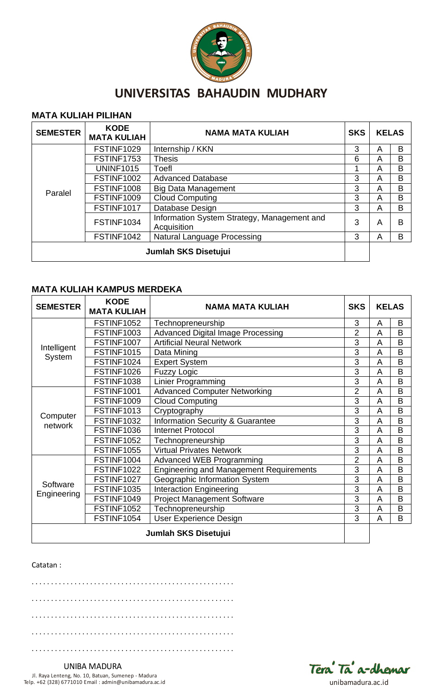

#### **MATA KULIAH PILIHAN**

| <b>SEMESTER</b>      | <b>KODE</b><br><b>MATA KULIAH</b> | <b>NAMA MATA KULIAH</b>                                    | <b>SKS</b> | <b>KELAS</b> |   |
|----------------------|-----------------------------------|------------------------------------------------------------|------------|--------------|---|
|                      | FSTINF1029                        | Internship / KKN                                           | 3          | A            | B |
|                      | FSTINF1753                        | <b>Thesis</b>                                              | 6          | A            | B |
|                      | <b>UNINF1015</b>                  | Toefl                                                      |            | A            | B |
|                      | FSTINF1002                        | <b>Advanced Database</b>                                   | 3          | A            | B |
|                      | FSTINF1008                        | <b>Big Data Management</b>                                 | 3          | A            | B |
| Paralel              | FSTINF1009                        | <b>Cloud Computing</b>                                     | 3          | A            | B |
|                      | FSTINF1017                        | Database Design                                            | 3          | A            | B |
|                      | FSTINF1034                        | Information System Strategy, Management and<br>Acquisition | 3          | A            | B |
|                      | FSTINF1042                        | Natural Language Processing                                | 3          | A            | B |
| Jumlah SKS Disetujui |                                   |                                                            |            |              |   |

#### **MATA KULIAH KAMPUS MERDEKA**

| <b>SEMESTER</b>       | <b>KODE</b><br><b>MATA KULIAH</b> | <b>SKS</b><br><b>NAMA MATA KULIAH</b>          |                |   | <b>KELAS</b> |
|-----------------------|-----------------------------------|------------------------------------------------|----------------|---|--------------|
|                       | <b>FSTINF1052</b>                 | Technopreneurship                              | 3              | A | B            |
|                       | <b>FSTINF1003</b>                 | <b>Advanced Digital Image Processing</b>       | $\overline{2}$ | A | B            |
|                       | FSTINF1007                        | <b>Artificial Neural Network</b>               | 3              | A | B            |
| Intelligent<br>System | <b>FSTINF1015</b>                 | Data Mining                                    | 3              | A | B            |
|                       | FSTINF1024                        | <b>Expert System</b>                           | 3              | A | B            |
|                       | FSTINF1026                        | <b>Fuzzy Logic</b>                             | 3              | A | B            |
|                       | <b>FSTINF1038</b>                 | <b>Linier Programming</b>                      | 3              | A | B            |
|                       | FSTINF1001                        | <b>Advanced Computer Networking</b>            | $\overline{2}$ | A | B            |
|                       | FSTINF1009                        | <b>Cloud Computing</b>                         | 3              | A | B            |
|                       | <b>FSTINF1013</b>                 | Cryptography                                   | 3              | A | B            |
| Computer<br>network   | <b>FSTINF1032</b>                 | <b>Information Security &amp; Guarantee</b>    | 3              | A | B            |
|                       | FSTINF1036                        | <b>Internet Protocol</b>                       | 3              | A | B            |
|                       | <b>FSTINF1052</b>                 | Technopreneurship                              | 3              | A | B            |
|                       | <b>FSTINF1055</b>                 | <b>Virtual Privates Network</b>                | 3              | A | B            |
|                       | FSTINF1004                        | <b>Advanced WEB Programming</b>                | $\overline{2}$ | A | B            |
|                       | <b>FSTINF1022</b>                 | <b>Engineering and Management Requirements</b> | 3              | A | B            |
| Software              | FSTINF1027                        | Geographic Information System                  | 3              | A | B            |
|                       | <b>FSTINF1035</b>                 | <b>Interaction Engineering</b>                 | 3              | A | B            |
| Engineering           | FSTINF1049                        | <b>Project Management Software</b>             | 3              | A | B            |
|                       | <b>FSTINF1052</b>                 | Technopreneurship                              | 3              | A | B            |
|                       | FSTINF1054                        | <b>User Experience Design</b>                  | 3              | A | B            |
| Jumlah SKS Disetujui  |                                   |                                                |                |   |              |

#### Catatan :

. . . . . . . . . . . . . . . . . . . . . . . . . . . . . . . . . . . . . . . . . . . . . . . . . . . . . . . . . . . . . . . . . . . . . . . . . . . . . . . . . . . . . . . . . . . . . . . . . . . . . . . . . . . . . . . . . . . . . . . . . . . . . . . . . . . . . . . . . . . . . . . . . . . . . . . . . . . . . . . . . . . . . . . . . . . . . . . . . . . . . . . . . . . . . . . . . . . . . . . . . . . . . . . . . . . . . . . . . . . . . . . . . . . . . . . . . . . . . . . . . . . . . . . . . . . . . . . . . . . .

Tera Ta a-dhemar

UNIBA MADURA Jl. Raya Lenteng, No. 10, Batuan, Sumenep - Madura Telp. +62 (328) 6771010 Email : admin@unibamadura.ac.id unibamadura.ac.id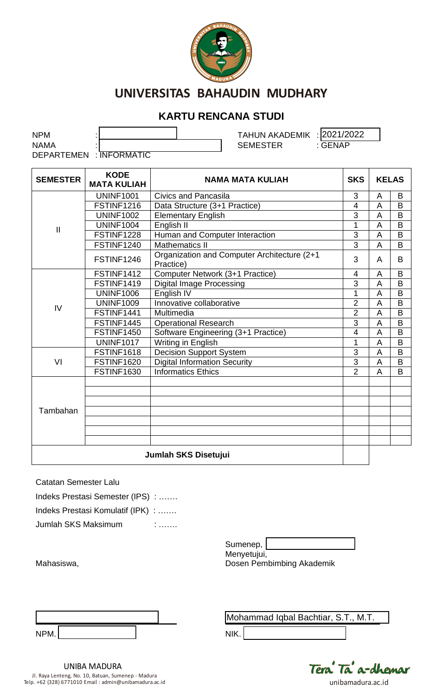

## **KARTU RENCANA STUDI**

| NPM                     |  | TAHUN AKADEMIK : 2021/2022 |                |
|-------------------------|--|----------------------------|----------------|
| NAMA                    |  | <b>SEMESTER</b>            | : <b>GENAP</b> |
| DEPARTEMEN : INFORMATIC |  |                            |                |

| <b>SEMESTER</b> | <b>KODE</b><br><b>MATA KULIAH</b> | <b>SKS</b><br><b>NAMA MATA KULIAH</b>                    |                | <b>KELAS</b>   |   |  |
|-----------------|-----------------------------------|----------------------------------------------------------|----------------|----------------|---|--|
|                 | <b>UNINF1001</b>                  | Civics and Pancasila                                     | 3              | A              | B |  |
|                 | FSTINF1216                        | Data Structure (3+1 Practice)                            | $\overline{4}$ | $\overline{A}$ | B |  |
|                 | <b>UNINF1002</b>                  | <b>Elementary English</b>                                | 3              | $\overline{A}$ | B |  |
| $\mathbf{  }$   | <b>UNINF1004</b>                  | English II                                               | 1              | A              | B |  |
|                 | FSTINF1228                        | Human and Computer Interaction                           | 3              | A              | B |  |
|                 | FSTINF1240                        | <b>Mathematics II</b>                                    | $\overline{3}$ | $\overline{A}$ | B |  |
|                 | FSTINF1246                        | Organization and Computer Architecture (2+1<br>Practice) | 3              | A              | B |  |
|                 | FSTINF1412                        | Computer Network (3+1 Practice)                          | 4              | A              | B |  |
| IV              | FSTINF1419                        | <b>Digital Image Processing</b>                          | 3              | A              | B |  |
|                 | <b>UNINF1006</b>                  | English IV                                               | 1              | A              | B |  |
|                 | <b>UNINF1009</b>                  | Innovative collaborative                                 | $\overline{2}$ | $\overline{A}$ | B |  |
|                 | FSTINF1441                        | Multimedia                                               | $\overline{2}$ | A              | B |  |
|                 | FSTINF1445                        | <b>Operational Research</b>                              | 3              | A              | B |  |
|                 | FSTINF1450                        | Software Engineering (3+1 Practice)                      | $\overline{4}$ | $\overline{A}$ | B |  |
|                 | <b>UNINF1017</b>                  | Writing in English                                       | 1              | A              | B |  |
|                 | FSTINF1618                        | <b>Decision Support System</b>                           | 3              | A              | B |  |
| VI              | FSTINF1620                        | <b>Digital Information Security</b>                      | 3              | A              | B |  |
|                 | <b>FSTINF1630</b>                 | <b>Informatics Ethics</b>                                | $\overline{2}$ | A              | B |  |
|                 |                                   |                                                          |                |                |   |  |
|                 |                                   |                                                          |                |                |   |  |
|                 |                                   |                                                          |                |                |   |  |
| Tambahan        |                                   |                                                          |                |                |   |  |
|                 |                                   |                                                          |                |                |   |  |
|                 |                                   |                                                          |                |                |   |  |
|                 | Jumlah SKS Disetujui              |                                                          |                |                |   |  |

Catatan Semester Lalu

Mahasiswa,

Г

| Indeks Prestasi Semester (IPS) :  |   |
|-----------------------------------|---|
| Indeks Prestasi Komulatif (IPK) : |   |
| Jumlah SKS Maksimum               | ٠ |

Sumenep,

Menyetujui, Dosen Pembimbing Akademik

| NPM. |  |  |  |
|------|--|--|--|

٦

**\_\_\_\_\_\_\_\_\_\_\_\_\_\_\_\_\_\_\_\_\_\_\_\_\_\_\_\_\_\_\_\_\_\_** Mohammad Iqbal Bachtiar, S.T., M.T.

NIK.



UNIBA MADURA Jl. Raya Lenteng, No. 10, Batuan, Sumenep - Madura Telp. +62 (328) 6771010 Email : admin@unibamadura.ac.id unibamadura.ac.id